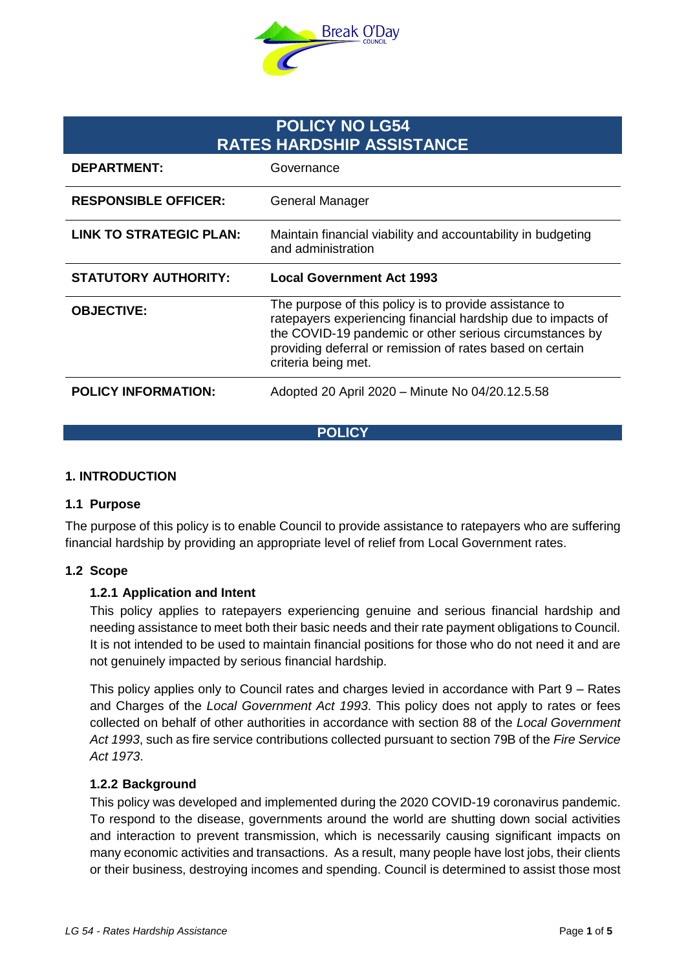

# **POLICY NO LG54 RATES HARDSHIP ASSISTANCE**

| <b>DEPARTMENT:</b>             | Governance                                                                                                                                                                                                                                                            |
|--------------------------------|-----------------------------------------------------------------------------------------------------------------------------------------------------------------------------------------------------------------------------------------------------------------------|
| <b>RESPONSIBLE OFFICER:</b>    | <b>General Manager</b>                                                                                                                                                                                                                                                |
| <b>LINK TO STRATEGIC PLAN:</b> | Maintain financial viability and accountability in budgeting<br>and administration                                                                                                                                                                                    |
| <b>STATUTORY AUTHORITY:</b>    | <b>Local Government Act 1993</b>                                                                                                                                                                                                                                      |
|                                |                                                                                                                                                                                                                                                                       |
| <b>OBJECTIVE:</b>              | The purpose of this policy is to provide assistance to<br>ratepayers experiencing financial hardship due to impacts of<br>the COVID-19 pandemic or other serious circumstances by<br>providing deferral or remission of rates based on certain<br>criteria being met. |

**POLICY**

## **1. INTRODUCTION**

#### **1.1 Purpose**

The purpose of this policy is to enable Council to provide assistance to ratepayers who are suffering financial hardship by providing an appropriate level of relief from Local Government rates.

#### **1.2 Scope**

## **1.2.1 Application and Intent**

This policy applies to ratepayers experiencing genuine and serious financial hardship and needing assistance to meet both their basic needs and their rate payment obligations to Council. It is not intended to be used to maintain financial positions for those who do not need it and are not genuinely impacted by serious financial hardship.

This policy applies only to Council rates and charges levied in accordance with Part 9 – Rates and Charges of the *Local Government Act 1993*. This policy does not apply to rates or fees collected on behalf of other authorities in accordance with section 88 of the *Local Government Act 1993*, such as fire service contributions collected pursuant to section 79B of the *Fire Service Act 1973*.

#### **1.2.2 Background**

This policy was developed and implemented during the 2020 COVID-19 coronavirus pandemic. To respond to the disease, governments around the world are shutting down social activities and interaction to prevent transmission, which is necessarily causing significant impacts on many economic activities and transactions. As a result, many people have lost jobs, their clients or their business, destroying incomes and spending. Council is determined to assist those most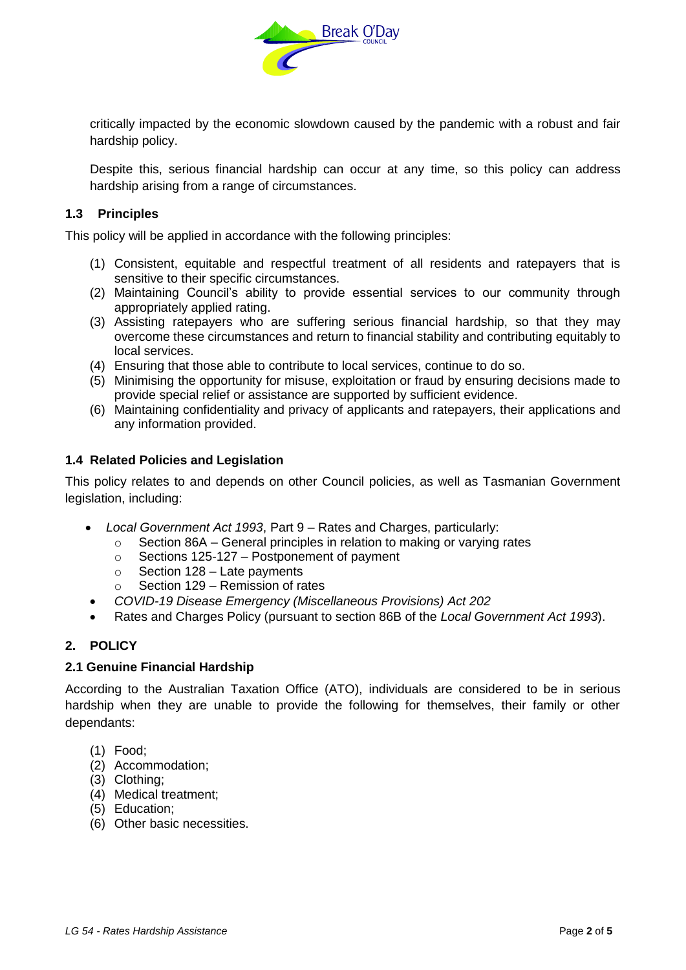

critically impacted by the economic slowdown caused by the pandemic with a robust and fair hardship policy.

Despite this, serious financial hardship can occur at any time, so this policy can address hardship arising from a range of circumstances.

## **1.3 Principles**

This policy will be applied in accordance with the following principles:

- (1) Consistent, equitable and respectful treatment of all residents and ratepayers that is sensitive to their specific circumstances.
- (2) Maintaining Council's ability to provide essential services to our community through appropriately applied rating.
- (3) Assisting ratepayers who are suffering serious financial hardship, so that they may overcome these circumstances and return to financial stability and contributing equitably to local services.
- (4) Ensuring that those able to contribute to local services, continue to do so.
- (5) Minimising the opportunity for misuse, exploitation or fraud by ensuring decisions made to provide special relief or assistance are supported by sufficient evidence.
- (6) Maintaining confidentiality and privacy of applicants and ratepayers, their applications and any information provided.

## **1.4 Related Policies and Legislation**

This policy relates to and depends on other Council policies, as well as Tasmanian Government legislation, including:

- *Local Government Act 1993*, Part 9 Rates and Charges, particularly:
	- $\circ$  Section 86A General principles in relation to making or varying rates
	- o Sections 125-127 Postponement of payment
	- $\circ$  Section 128 Late payments
	- o Section 129 Remission of rates
	- *COVID-19 Disease Emergency (Miscellaneous Provisions) Act 202*
- Rates and Charges Policy (pursuant to section 86B of the *Local Government Act 1993*).

## **2. POLICY**

#### **2.1 Genuine Financial Hardship**

According to the Australian Taxation Office (ATO), individuals are considered to be in serious hardship when they are unable to provide the following for themselves, their family or other dependants:

- (1) Food;
- (2) Accommodation;
- (3) Clothing;
- (4) Medical treatment;
- (5) Education;
- (6) Other basic necessities.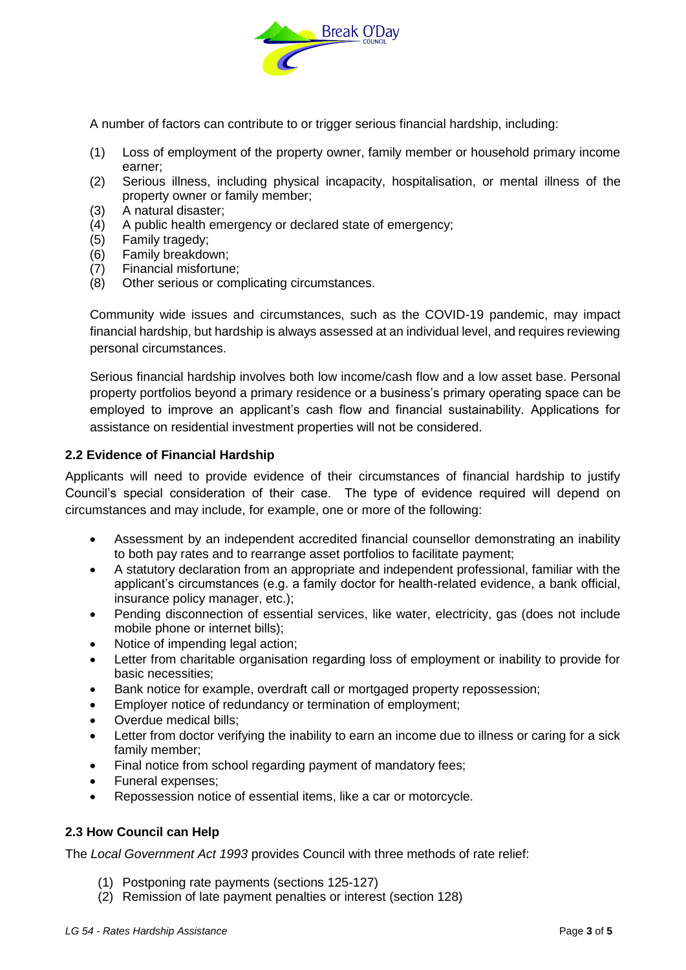

A number of factors can contribute to or trigger serious financial hardship, including:

- (1) Loss of employment of the property owner, family member or household primary income earner;
- (2) Serious illness, including physical incapacity, hospitalisation, or mental illness of the property owner or family member;
- (3) A natural disaster;
- (4) A public health emergency or declared state of emergency;
- (5) Family tragedy;
- (6) Family breakdown;
- (7) Financial misfortune;
- (8) Other serious or complicating circumstances.

Community wide issues and circumstances, such as the COVID-19 pandemic, may impact financial hardship, but hardship is always assessed at an individual level, and requires reviewing personal circumstances.

Serious financial hardship involves both low income/cash flow and a low asset base. Personal property portfolios beyond a primary residence or a business's primary operating space can be employed to improve an applicant's cash flow and financial sustainability. Applications for assistance on residential investment properties will not be considered.

## <span id="page-2-0"></span>**2.2 Evidence of Financial Hardship**

Applicants will need to provide evidence of their circumstances of financial hardship to justify Council's special consideration of their case. The type of evidence required will depend on circumstances and may include, for example, one or more of the following:

- Assessment by an independent accredited financial counsellor demonstrating an inability to both pay rates and to rearrange asset portfolios to facilitate payment;
- A statutory declaration from an appropriate and independent professional, familiar with the applicant's circumstances (e.g. a family doctor for health-related evidence, a bank official, insurance policy manager, etc.);
- Pending disconnection of essential services, like water, electricity, gas (does not include mobile phone or internet bills);
- Notice of impending legal action;
- Letter from charitable organisation regarding loss of employment or inability to provide for basic necessities;
- Bank notice for example, overdraft call or mortgaged property repossession;
- Employer notice of redundancy or termination of employment;
- Overdue medical bills;
- Letter from doctor verifying the inability to earn an income due to illness or caring for a sick family member;
- Final notice from school regarding payment of mandatory fees;
- Funeral expenses;
- Repossession notice of essential items, like a car or motorcycle.

## **2.3 How Council can Help**

The *Local Government Act 1993* provides Council with three methods of rate relief:

- (1) Postponing rate payments (sections 125-127)
- (2) Remission of late payment penalties or interest (section 128)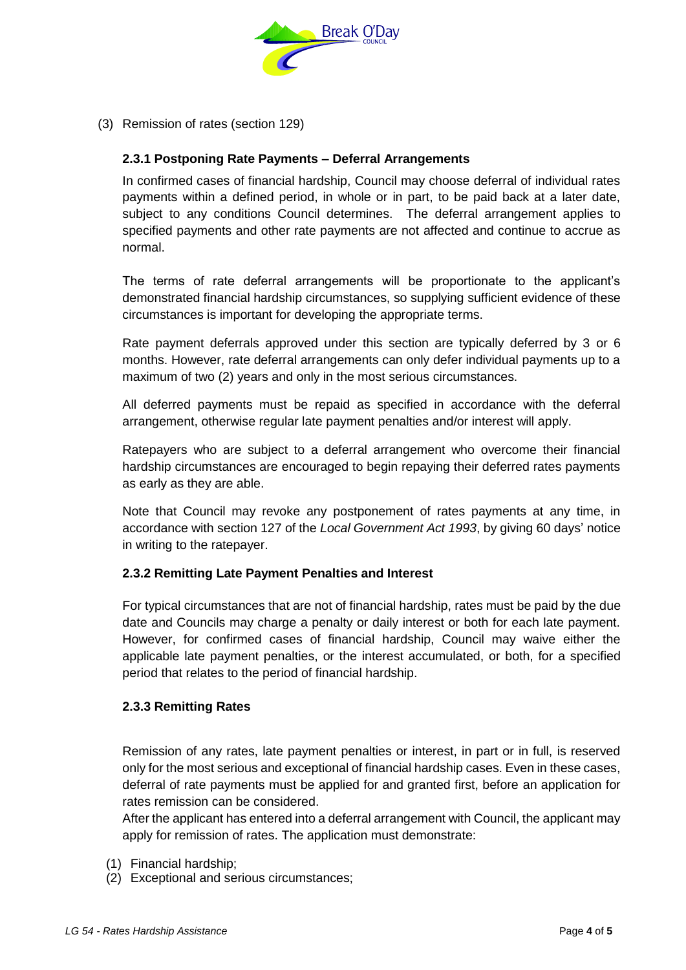

<span id="page-3-0"></span>(3) Remission of rates (section 129)

# **2.3.1 Postponing Rate Payments – Deferral Arrangements**

In confirmed cases of financial hardship, Council may choose deferral of individual rates payments within a defined period, in whole or in part, to be paid back at a later date, subject to any conditions Council determines. The deferral arrangement applies to specified payments and other rate payments are not affected and continue to accrue as normal.

The terms of rate deferral arrangements will be proportionate to the applicant's demonstrated financial hardship circumstances, so supplying sufficient evidence of these circumstances is important for developing the appropriate terms.

Rate payment deferrals approved under this section are typically deferred by 3 or 6 months. However, rate deferral arrangements can only defer individual payments up to a maximum of two (2) years and only in the most serious circumstances.

All deferred payments must be repaid as specified in accordance with the deferral arrangement, otherwise regular late payment penalties and/or interest will apply.

Ratepayers who are subject to a deferral arrangement who overcome their financial hardship circumstances are encouraged to begin repaying their deferred rates payments as early as they are able.

Note that Council may revoke any postponement of rates payments at any time, in accordance with section 127 of the *Local Government Act 1993*, by giving 60 days' notice in writing to the ratepayer.

## **2.3.2 Remitting Late Payment Penalties and Interest**

For typical circumstances that are not of financial hardship, rates must be paid by the due date and Councils may charge a penalty or daily interest or both for each late payment. However, for confirmed cases of financial hardship, Council may waive either the applicable late payment penalties, or the interest accumulated, or both, for a specified period that relates to the period of financial hardship.

## **2.3.3 Remitting Rates**

Remission of any rates, late payment penalties or interest, in part or in full, is reserved only for the most serious and exceptional of financial hardship cases. Even in these cases, deferral of rate payments must be applied for and granted first, before an application for rates remission can be considered.

After the applicant has entered into a deferral arrangement with Council, the applicant may apply for remission of rates. The application must demonstrate:

- (1) Financial hardship;
- (2) Exceptional and serious circumstances;